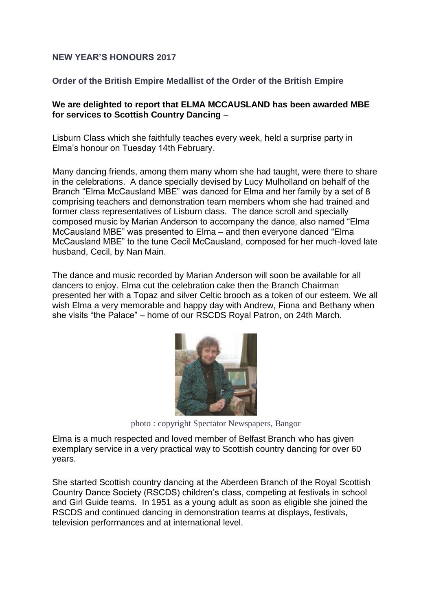## **NEW YEAR'S HONOURS 2017**

## **Order of the British Empire Medallist of the Order of the British Empire**

## **We are delighted to report that ELMA MCCAUSLAND has been awarded MBE for services to Scottish Country Dancing** –

Lisburn Class which she faithfully teaches every week, held a surprise party in Elma's honour on Tuesday 14th February.

Many dancing friends, among them many whom she had taught, were there to share in the celebrations. A dance specially devised by Lucy Mulholland on behalf of the Branch "Elma McCausland MBE" was danced for Elma and her family by a set of 8 comprising teachers and demonstration team members whom she had trained and former class representatives of Lisburn class. The dance scroll and specially composed music by Marian Anderson to accompany the dance, also named "Elma McCausland MBE" was presented to Elma – and then everyone danced "Elma McCausland MBE" to the tune Cecil McCausland, composed for her much-loved late husband, Cecil, by Nan Main.

The dance and music recorded by Marian Anderson will soon be available for all dancers to enjoy. Elma cut the celebration cake then the Branch Chairman presented her with a Topaz and silver Celtic brooch as a token of our esteem. We all wish Elma a very memorable and happy day with Andrew, Fiona and Bethany when she visits "the Palace" – home of our RSCDS Royal Patron, on 24th March.



photo : copyright Spectator Newspapers, Bangor

Elma is a much respected and loved member of Belfast Branch who has given exemplary service in a very practical way to Scottish country dancing for over 60 years.

She started Scottish country dancing at the Aberdeen Branch of the Royal Scottish Country Dance Society (RSCDS) children's class, competing at festivals in school and Girl Guide teams. In 1951 as a young adult as soon as eligible she joined the RSCDS and continued dancing in demonstration teams at displays, festivals, television performances and at international level.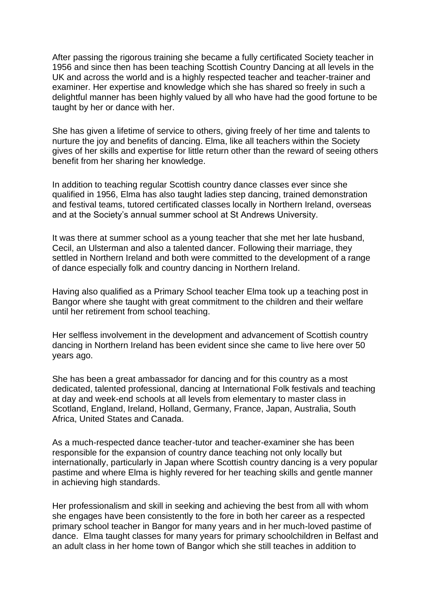After passing the rigorous training she became a fully certificated Society teacher in 1956 and since then has been teaching Scottish Country Dancing at all levels in the UK and across the world and is a highly respected teacher and teacher-trainer and examiner. Her expertise and knowledge which she has shared so freely in such a delightful manner has been highly valued by all who have had the good fortune to be taught by her or dance with her.

She has given a lifetime of service to others, giving freely of her time and talents to nurture the joy and benefits of dancing. Elma, like all teachers within the Society gives of her skills and expertise for little return other than the reward of seeing others benefit from her sharing her knowledge.

In addition to teaching regular Scottish country dance classes ever since she qualified in 1956, Elma has also taught ladies step dancing, trained demonstration and festival teams, tutored certificated classes locally in Northern Ireland, overseas and at the Society's annual summer school at St Andrews University.

It was there at summer school as a young teacher that she met her late husband, Cecil, an Ulsterman and also a talented dancer. Following their marriage, they settled in Northern Ireland and both were committed to the development of a range of dance especially folk and country dancing in Northern Ireland.

Having also qualified as a Primary School teacher Elma took up a teaching post in Bangor where she taught with great commitment to the children and their welfare until her retirement from school teaching.

Her selfless involvement in the development and advancement of Scottish country dancing in Northern Ireland has been evident since she came to live here over 50 years ago.

She has been a great ambassador for dancing and for this country as a most dedicated, talented professional, dancing at International Folk festivals and teaching at day and week-end schools at all levels from elementary to master class in Scotland, England, Ireland, Holland, Germany, France, Japan, Australia, South Africa, United States and Canada.

As a much-respected dance teacher-tutor and teacher-examiner she has been responsible for the expansion of country dance teaching not only locally but internationally, particularly in Japan where Scottish country dancing is a very popular pastime and where Elma is highly revered for her teaching skills and gentle manner in achieving high standards.

Her professionalism and skill in seeking and achieving the best from all with whom she engages have been consistently to the fore in both her career as a respected primary school teacher in Bangor for many years and in her much-loved pastime of dance. Elma taught classes for many years for primary schoolchildren in Belfast and an adult class in her home town of Bangor which she still teaches in addition to